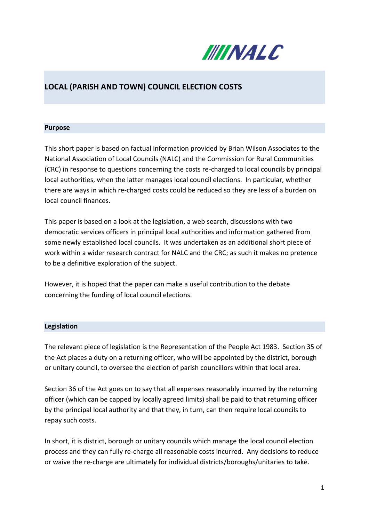

# **LOCAL (PARISH AND TOWN) COUNCIL ELECTION COSTS**

#### **Purpose**

This short paper is based on factual information provided by Brian Wilson Associates to the National Association of Local Councils (NALC) and the Commission for Rural Communities (CRC) in response to questions concerning the costs re-charged to local councils by principal local authorities, when the latter manages local council elections. In particular, whether there are ways in which re-charged costs could be reduced so they are less of a burden on local council finances.

This paper is based on a look at the legislation, a web search, discussions with two democratic services officers in principal local authorities and information gathered from some newly established local councils. It was undertaken as an additional short piece of work within a wider research contract for NALC and the CRC; as such it makes no pretence to be a definitive exploration of the subject.

However, it is hoped that the paper can make a useful contribution to the debate concerning the funding of local council elections.

#### **Legislation**

The relevant piece of legislation is the Representation of the People Act 1983. Section 35 of the Act places a duty on a returning officer, who will be appointed by the district, borough or unitary council, to oversee the election of parish councillors within that local area.

Section 36 of the Act goes on to say that all expenses reasonably incurred by the returning officer (which can be capped by locally agreed limits) shall be paid to that returning officer by the principal local authority and that they, in turn, can then require local councils to repay such costs.

In short, it is district, borough or unitary councils which manage the local council election process and they can fully re-charge all reasonable costs incurred. Any decisions to reduce or waive the re-charge are ultimately for individual districts/boroughs/unitaries to take.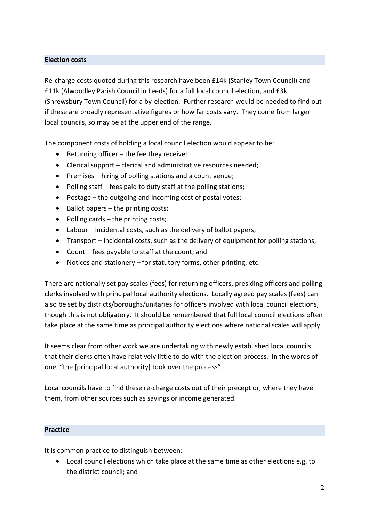# **Election costs**

Re-charge costs quoted during this research have been £14k (Stanley Town Council) and £11k (Alwoodley Parish Council in Leeds) for a full local council election, and £3k (Shrewsbury Town Council) for a by-election. Further research would be needed to find out if these are broadly representative figures or how far costs vary. They come from larger local councils, so may be at the upper end of the range.

The component costs of holding a local council election would appear to be:

- Returning officer the fee they receive;
- Clerical support clerical and administrative resources needed;
- **•** Premises hiring of polling stations and a count venue;
- Polling staff fees paid to duty staff at the polling stations;
- Postage the outgoing and incoming cost of postal votes;
- $\bullet$  Ballot papers the printing costs:
- Polling cards  $-$  the printing costs;
- Labour incidental costs, such as the delivery of ballot papers;
- Transport incidental costs, such as the delivery of equipment for polling stations;
- Count fees payable to staff at the count; and
- Notices and stationery for statutory forms, other printing, etc.

There are nationally set pay scales (fees) for returning officers, presiding officers and polling clerks involved with principal local authority elections. Locally agreed pay scales (fees) can also be set by districts/boroughs/unitaries for officers involved with local council elections, though this is not obligatory. It should be remembered that full local council elections often take place at the same time as principal authority elections where national scales will apply.

It seems clear from other work we are undertaking with newly established local councils that their clerks often have relatively little to do with the election process. In the words of one, "the [principal local authority] took over the process".

Local councils have to find these re-charge costs out of their precept or, where they have them, from other sources such as savings or income generated.

#### **Practice**

It is common practice to distinguish between:

 Local council elections which take place at the same time as other elections e.g. to the district council; and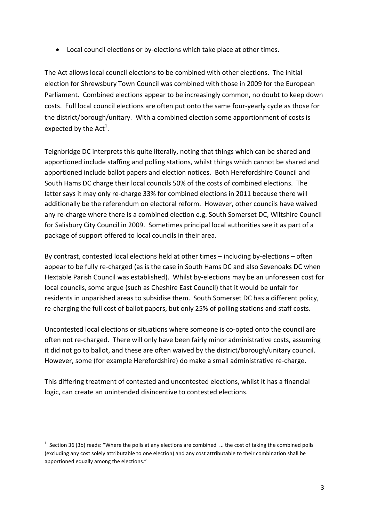Local council elections or by-elections which take place at other times.

The Act allows local council elections to be combined with other elections. The initial election for Shrewsbury Town Council was combined with those in 2009 for the European Parliament. Combined elections appear to be increasingly common, no doubt to keep down costs. Full local council elections are often put onto the same four-yearly cycle as those for the district/borough/unitary. With a combined election some apportionment of costs is expected by the Act<sup>1</sup>.

Teignbridge DC interprets this quite literally, noting that things which can be shared and apportioned include staffing and polling stations, whilst things which cannot be shared and apportioned include ballot papers and election notices. Both Herefordshire Council and South Hams DC charge their local councils 50% of the costs of combined elections. The latter says it may only re-charge 33% for combined elections in 2011 because there will additionally be the referendum on electoral reform. However, other councils have waived any re-charge where there is a combined election e.g. South Somerset DC, Wiltshire Council for Salisbury City Council in 2009. Sometimes principal local authorities see it as part of a package of support offered to local councils in their area.

By contrast, contested local elections held at other times – including by-elections – often appear to be fully re-charged (as is the case in South Hams DC and also Sevenoaks DC when Hextable Parish Council was established). Whilst by-elections may be an unforeseen cost for local councils, some argue (such as Cheshire East Council) that it would be unfair for residents in unparished areas to subsidise them. South Somerset DC has a different policy, re-charging the full cost of ballot papers, but only 25% of polling stations and staff costs.

Uncontested local elections or situations where someone is co-opted onto the council are often not re-charged. There will only have been fairly minor administrative costs, assuming it did not go to ballot, and these are often waived by the district/borough/unitary council. However, some (for example Herefordshire) do make a small administrative re-charge.

This differing treatment of contested and uncontested elections, whilst it has a financial logic, can create an unintended disincentive to contested elections.

<u>.</u>

<sup>1</sup> Section 36 (3b) reads: "Where the polls at any elections are combined ... the cost of taking the combined polls (excluding any cost solely attributable to one election) and any cost attributable to their combination shall be apportioned equally among the elections."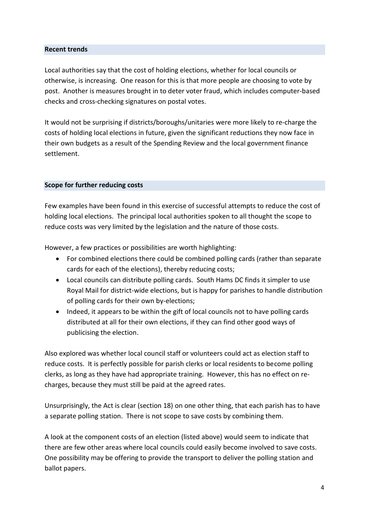## **Recent trends**

Local authorities say that the cost of holding elections, whether for local councils or otherwise, is increasing. One reason for this is that more people are choosing to vote by post. Another is measures brought in to deter voter fraud, which includes computer-based checks and cross-checking signatures on postal votes.

It would not be surprising if districts/boroughs/unitaries were more likely to re-charge the costs of holding local elections in future, given the significant reductions they now face in their own budgets as a result of the Spending Review and the local government finance settlement.

## **Scope for further reducing costs**

Few examples have been found in this exercise of successful attempts to reduce the cost of holding local elections. The principal local authorities spoken to all thought the scope to reduce costs was very limited by the legislation and the nature of those costs.

However, a few practices or possibilities are worth highlighting:

- For combined elections there could be combined polling cards (rather than separate cards for each of the elections), thereby reducing costs;
- Local councils can distribute polling cards. South Hams DC finds it simpler to use Royal Mail for district-wide elections, but is happy for parishes to handle distribution of polling cards for their own by-elections;
- Indeed, it appears to be within the gift of local councils not to have polling cards distributed at all for their own elections, if they can find other good ways of publicising the election.

Also explored was whether local council staff or volunteers could act as election staff to reduce costs. It is perfectly possible for parish clerks or local residents to become polling clerks, as long as they have had appropriate training. However, this has no effect on recharges, because they must still be paid at the agreed rates.

Unsurprisingly, the Act is clear (section 18) on one other thing, that each parish has to have a separate polling station. There is not scope to save costs by combining them.

A look at the component costs of an election (listed above) would seem to indicate that there are few other areas where local councils could easily become involved to save costs. One possibility may be offering to provide the transport to deliver the polling station and ballot papers.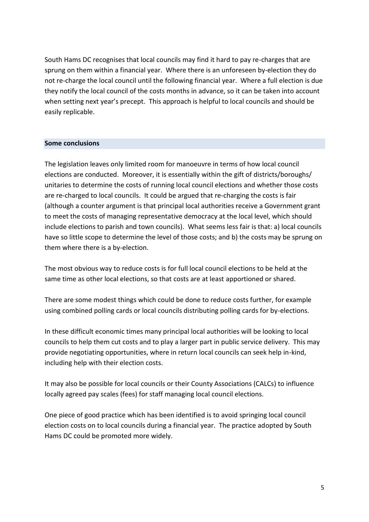South Hams DC recognises that local councils may find it hard to pay re-charges that are sprung on them within a financial year. Where there is an unforeseen by-election they do not re-charge the local council until the following financial year. Where a full election is due they notify the local council of the costs months in advance, so it can be taken into account when setting next year's precept. This approach is helpful to local councils and should be easily replicable.

#### **Some conclusions**

The legislation leaves only limited room for manoeuvre in terms of how local council elections are conducted. Moreover, it is essentially within the gift of districts/boroughs/ unitaries to determine the costs of running local council elections and whether those costs are re-charged to local councils. It could be argued that re-charging the costs is fair (although a counter argument is that principal local authorities receive a Government grant to meet the costs of managing representative democracy at the local level, which should include elections to parish and town councils). What seems less fair is that: a) local councils have so little scope to determine the level of those costs; and b) the costs may be sprung on them where there is a by-election.

The most obvious way to reduce costs is for full local council elections to be held at the same time as other local elections, so that costs are at least apportioned or shared.

There are some modest things which could be done to reduce costs further, for example using combined polling cards or local councils distributing polling cards for by-elections.

In these difficult economic times many principal local authorities will be looking to local councils to help them cut costs and to play a larger part in public service delivery. This may provide negotiating opportunities, where in return local councils can seek help in-kind, including help with their election costs.

It may also be possible for local councils or their County Associations (CALCs) to influence locally agreed pay scales (fees) for staff managing local council elections.

One piece of good practice which has been identified is to avoid springing local council election costs on to local councils during a financial year. The practice adopted by South Hams DC could be promoted more widely.